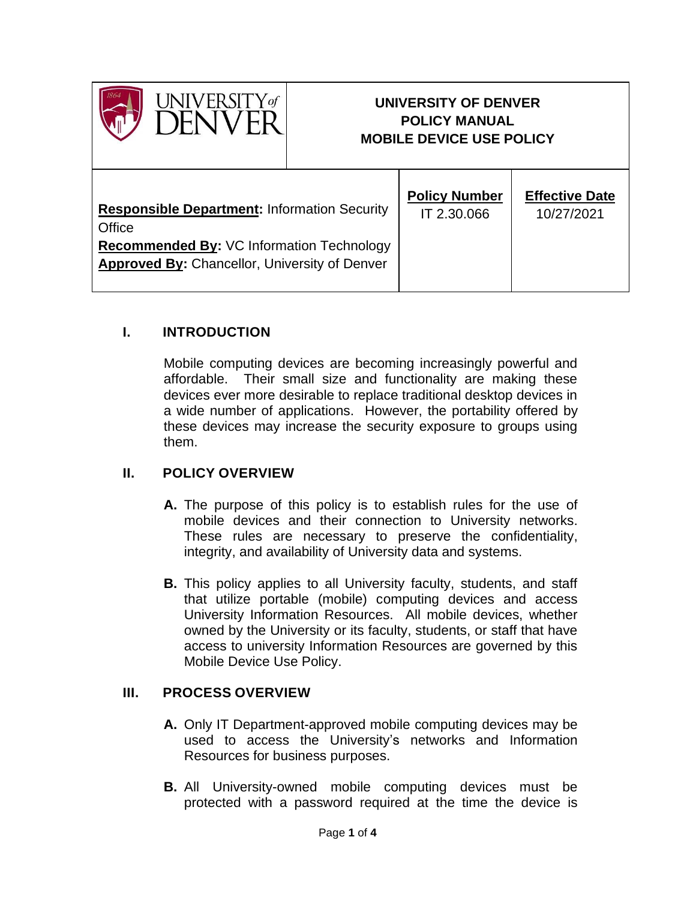

# **UNIVERSITY OF DENVER POLICY MANUAL MOBILE DEVICE USE POLICY**

| <b>Responsible Department: Information Security</b>                                                      | <b>Policy Number</b> | <b>Effective Date</b> |
|----------------------------------------------------------------------------------------------------------|----------------------|-----------------------|
| Office                                                                                                   | IT 2.30.066          | 10/27/2021            |
| <b>Recommended By: VC Information Technology</b><br><b>Approved By: Chancellor, University of Denver</b> |                      |                       |

## **I. INTRODUCTION**

Mobile computing devices are becoming increasingly powerful and affordable. Their small size and functionality are making these devices ever more desirable to replace traditional desktop devices in a wide number of applications. However, the portability offered by these devices may increase the security exposure to groups using them.

#### **II. POLICY OVERVIEW**

- **A.** The purpose of this policy is to establish rules for the use of mobile devices and their connection to University networks. These rules are necessary to preserve the confidentiality, integrity, and availability of University data and systems.
- **B.** This policy applies to all University faculty, students, and staff that utilize portable (mobile) computing devices and access University Information Resources. All mobile devices, whether owned by the University or its faculty, students, or staff that have access to university Information Resources are governed by this Mobile Device Use Policy.

#### **III. PROCESS OVERVIEW**

- **A.** Only IT Department-approved mobile computing devices may be used to access the University's networks and Information Resources for business purposes.
- **B.** All University-owned mobile computing devices must be protected with a password required at the time the device is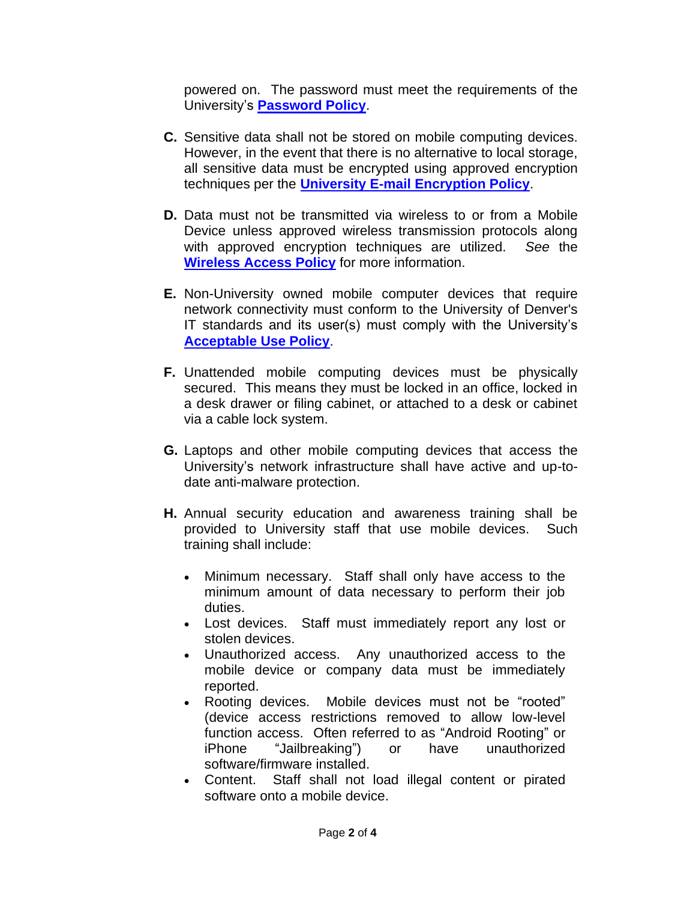powered on. The password must meet the requirements of the University's **[Password Policy](https://www.du.edu/it/about/it-policies/password)**.

- **C.** Sensitive data shall not be stored on mobile computing devices. However, in the event that there is no alternative to local storage, all sensitive data must be encrypted using approved encryption techniques per the **[University E-mail Encryption Policy](https://www.du.edu/it/support/how-to/email-encryption)**.
- **D.** Data must not be transmitted via wireless to or from a Mobile Device unless approved wireless transmission protocols along with approved encryption techniques are utilized. *See* the **[Wireless Access Policy](https://www.du.edu/it/about/it-policies/wireless)** for more information.
- **E.** Non-University owned mobile computer devices that require network connectivity must conform to the University of Denver's IT standards and its user(s) must comply with the University's **[Acceptable Use Policy](https://www.du.edu/it/about/it-policies/computer-network-acceptable-use)**.
- **F.** Unattended mobile computing devices must be physically secured. This means they must be locked in an office, locked in a desk drawer or filing cabinet, or attached to a desk or cabinet via a cable lock system.
- **G.** Laptops and other mobile computing devices that access the University's network infrastructure shall have active and up-todate anti-malware protection.
- **H.** Annual security education and awareness training shall be provided to University staff that use mobile devices. Such training shall include:
	- Minimum necessary. Staff shall only have access to the minimum amount of data necessary to perform their job duties.
	- Lost devices. Staff must immediately report any lost or stolen devices.
	- Unauthorized access. Any unauthorized access to the mobile device or company data must be immediately reported.
	- Rooting devices. Mobile devices must not be "rooted" (device access restrictions removed to allow low-level function access. Often referred to as "Android Rooting" or iPhone "Jailbreaking") or have unauthorized software/firmware installed.
	- Content. Staff shall not load illegal content or pirated software onto a mobile device.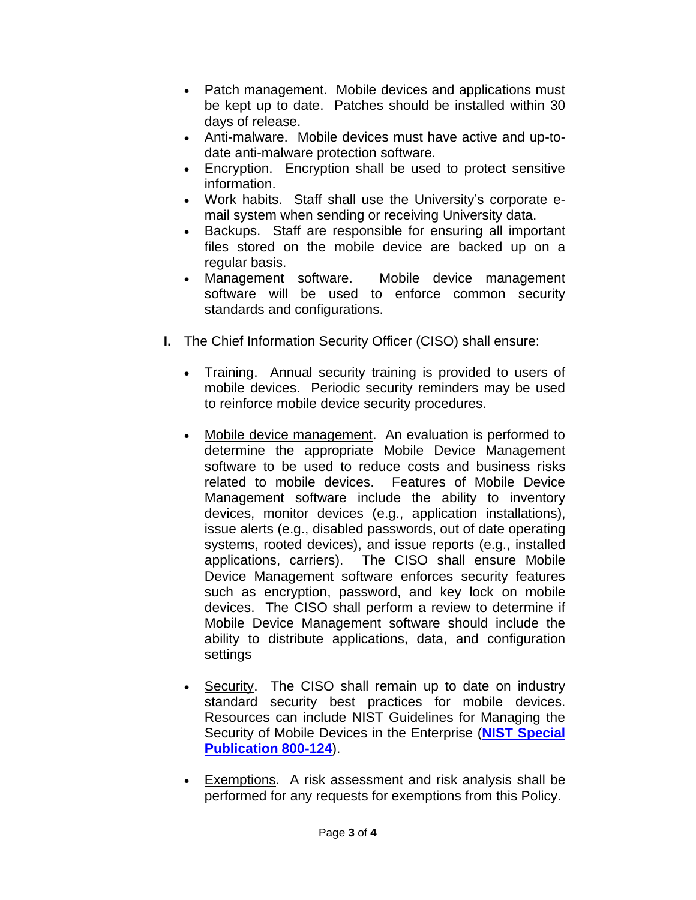- Patch management. Mobile devices and applications must be kept up to date. Patches should be installed within 30 days of release.
- Anti-malware. Mobile devices must have active and up-todate anti-malware protection software.
- Encryption. Encryption shall be used to protect sensitive information.
- Work habits. Staff shall use the University's corporate email system when sending or receiving University data.
- Backups. Staff are responsible for ensuring all important files stored on the mobile device are backed up on a regular basis.
- Management software. Mobile device management software will be used to enforce common security standards and configurations.
- **I.** The Chief Information Security Officer (CISO) shall ensure:
	- Training. Annual security training is provided to users of mobile devices. Periodic security reminders may be used to reinforce mobile device security procedures.
	- Mobile device management. An evaluation is performed to determine the appropriate Mobile Device Management software to be used to reduce costs and business risks related to mobile devices. Features of Mobile Device Management software include the ability to inventory devices, monitor devices (e.g., application installations), issue alerts (e.g., disabled passwords, out of date operating systems, rooted devices), and issue reports (e.g., installed applications, carriers). The CISO shall ensure Mobile Device Management software enforces security features such as encryption, password, and key lock on mobile devices. The CISO shall perform a review to determine if Mobile Device Management software should include the ability to distribute applications, data, and configuration settings
	- Security. The CISO shall remain up to date on industry standard security best practices for mobile devices. Resources can include NIST Guidelines for Managing the Security of Mobile Devices in the Enterprise (**[NIST Special](https://csrc.nist.gov/publications/detail/sp/800-124/rev-1/final)  [Publication 800-124](https://csrc.nist.gov/publications/detail/sp/800-124/rev-1/final)**).
	- Exemptions. A risk assessment and risk analysis shall be performed for any requests for exemptions from this Policy.